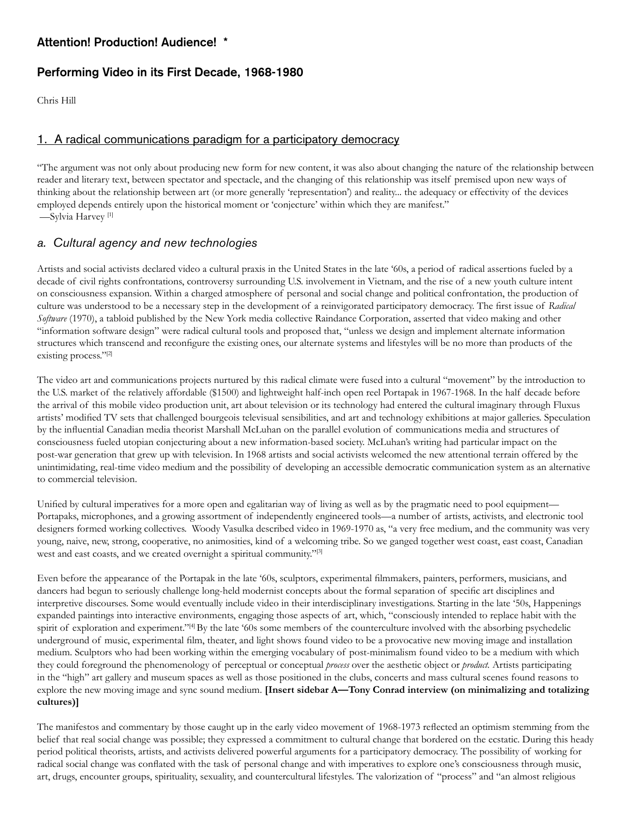# **Attention! Production! Audience! \***

# **Performing Video in its First Decade, 1968-1980**

Chris Hill

# 1. A radical communications paradigm for a participatory democracy

"The argument was not only about producing new form for new content, it was also about changing the nature of the relationship between reader and literary text, between spectator and spectacle, and the changing of this relationship was itself premised upon new ways of thinking about the relationship between art (or more generally 'representation') and reality... the adequacy or effectivity of the devices employed depends entirely upon the historical moment or 'conjecture' within which they are manifest." —Sylvia Harvey [1]

# *a. Cultural agency and new technologies*

Artists and social activists declared video a cultural praxis in the United States in the late '60s, a period of radical assertions fueled by a decade of civil rights confrontations, controversy surrounding U.S. involvement in Vietnam, and the rise of a new youth culture intent on consciousness expansion. Within a charged atmosphere of personal and social change and political confrontation, the production of culture was understood to be a necessary step in the development of a reinvigorated participatory democracy. The first issue of *Radical Software* (1970), a tabloid published by the New York media collective Raindance Corporation, asserted that video making and other "information software design" were radical cultural tools and proposed that, "unless we design and implement alternate information structures which transcend and reconfigure the existing ones, our alternate systems and lifestyles will be no more than products of the existing process."[2]

The video art and communications projects nurtured by this radical climate were fused into a cultural "movement" by the introduction to the U.S. market of the relatively affordable (\$1500) and lightweight half-inch open reel Portapak in 1967-1968. In the half decade before the arrival of this mobile video production unit, art about television or its technology had entered the cultural imaginary through Fluxus artists' modified TV sets that challenged bourgeois televisual sensibilities, and art and technology exhibitions at major galleries. Speculation by the influential Canadian media theorist Marshall McLuhan on the parallel evolution of communications media and structures of consciousness fueled utopian conjecturing about a new information-based society. McLuhan's writing had particular impact on the post-war generation that grew up with television. In 1968 artists and social activists welcomed the new attentional terrain offered by the unintimidating, real-time video medium and the possibility of developing an accessible democratic communication system as an alternative to commercial television.

Unified by cultural imperatives for a more open and egalitarian way of living as well as by the pragmatic need to pool equipment— Portapaks, microphones, and a growing assortment of independently engineered tools—a number of artists, activists, and electronic tool designers formed working collectives. Woody Vasulka described video in 1969-1970 as, "a very free medium, and the community was very young, naive, new, strong, cooperative, no animosities, kind of a welcoming tribe. So we ganged together west coast, east coast, Canadian west and east coasts, and we created overnight a spiritual community."<sup>[3]</sup>

Even before the appearance of the Portapak in the late '60s, sculptors, experimental filmmakers, painters, performers, musicians, and dancers had begun to seriously challenge long-held modernist concepts about the formal separation of specific art disciplines and interpretive discourses. Some would eventually include video in their interdisciplinary investigations. Starting in the late '50s, Happenings expanded paintings into interactive environments, engaging those aspects of art, which, "consciously intended to replace habit with the spirit of exploration and experiment."[4] By the late '60s some members of the counterculture involved with the absorbing psychedelic underground of music, experimental film, theater, and light shows found video to be a provocative new moving image and installation medium. Sculptors who had been working within the emerging vocabulary of post-minimalism found video to be a medium with which they could foreground the phenomenology of perceptual or conceptual *process* over the aesthetic object or *product.* Artists participating in the "high" art gallery and museum spaces as well as those positioned in the clubs, concerts and mass cultural scenes found reasons to explore the new moving image and sync sound medium. **[Insert sidebar A—Tony Conrad interview (on minimalizing and totalizing cultures)]**

The manifestos and commentary by those caught up in the early video movement of 1968-1973 reflected an optimism stemming from the belief that real social change was possible; they expressed a commitment to cultural change that bordered on the ecstatic. During this heady period political theorists, artists, and activists delivered powerful arguments for a participatory democracy. The possibility of working for radical social change was conflated with the task of personal change and with imperatives to explore one's consciousness through music, art, drugs, encounter groups, spirituality, sexuality, and countercultural lifestyles. The valorization of "process" and "an almost religious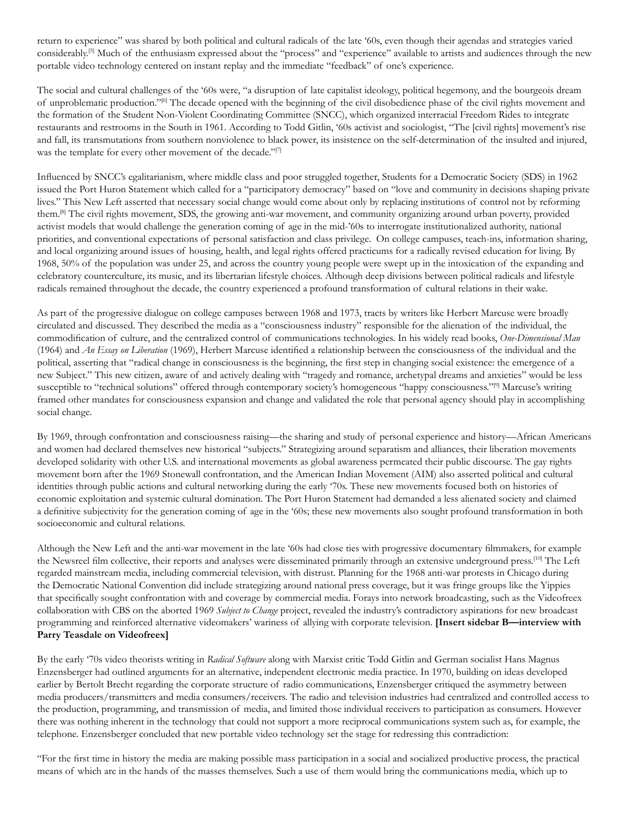return to experience" was shared by both political and cultural radicals of the late '60s, even though their agendas and strategies varied considerably.[5] Much of the enthusiasm expressed about the "process" and "experience" available to artists and audiences through the new portable video technology centered on instant replay and the immediate "feedback" of one's experience.

The social and cultural challenges of the '60s were, "a disruption of late capitalist ideology, political hegemony, and the bourgeois dream of unproblematic production."[6] The decade opened with the beginning of the civil disobedience phase of the civil rights movement and the formation of the Student Non-Violent Coordinating Committee (SNCC), which organized interracial Freedom Rides to integrate restaurants and restrooms in the South in 1961. According to Todd Gitlin, '60s activist and sociologist, "The [civil rights] movement's rise and fall, its transmutations from southern nonviolence to black power, its insistence on the self-determination of the insulted and injured, was the template for every other movement of the decade."<sup>[7]</sup>

Influenced by SNCC's egalitarianism, where middle class and poor struggled together, Students for a Democratic Society (SDS) in 1962 issued the Port Huron Statement which called for a "participatory democracy" based on "love and community in decisions shaping private lives." This New Left asserted that necessary social change would come about only by replacing institutions of control not by reforming them.[8] The civil rights movement, SDS, the growing anti-war movement, and community organizing around urban poverty, provided activist models that would challenge the generation coming of age in the mid-'60s to interrogate institutionalized authority, national priorities, and conventional expectations of personal satisfaction and class privilege. On college campuses, teach-ins, information sharing, and local organizing around issues of housing, health, and legal rights offered practicums for a radically revised education for living. By 1968, 50% of the population was under 25, and across the country young people were swept up in the intoxication of the expanding and celebratory counterculture, its music, and its libertarian lifestyle choices. Although deep divisions between political radicals and lifestyle radicals remained throughout the decade, the country experienced a profound transformation of cultural relations in their wake.

As part of the progressive dialogue on college campuses between 1968 and 1973, tracts by writers like Herbert Marcuse were broadly circulated and discussed. They described the media as a "consciousness industry" responsible for the alienation of the individual, the commodification of culture, and the centralized control of communications technologies. In his widely read books, *One-Dimensional Man*  (1964) and *An Essay on Liberation* (1969), Herbert Marcuse identified a relationship between the consciousness of the individual and the political, asserting that "radical change in consciousness is the beginning, the first step in changing social existence: the emergence of a new Subject." This new citizen, aware of and actively dealing with "tragedy and romance, archetypal dreams and anxieties" would be less susceptible to "technical solutions" offered through contemporary society's homogeneous "happy consciousness."<sup>[9]</sup> Marcuse's writing framed other mandates for consciousness expansion and change and validated the role that personal agency should play in accomplishing social change.

By 1969, through confrontation and consciousness raising—the sharing and study of personal experience and history—African Americans and women had declared themselves new historical "subjects." Strategizing around separatism and alliances, their liberation movements developed solidarity with other U.S. and international movements as global awareness permeated their public discourse. The gay rights movement born after the 1969 Stonewall confrontation, and the American Indian Movement (AIM) also asserted political and cultural identities through public actions and cultural networking during the early '70s. These new movements focused both on histories of economic exploitation and systemic cultural domination. The Port Huron Statement had demanded a less alienated society and claimed a definitive subjectivity for the generation coming of age in the '60s; these new movements also sought profound transformation in both socioeconomic and cultural relations.

Although the New Left and the anti-war movement in the late '60s had close ties with progressive documentary filmmakers, for example the Newsreel film collective, their reports and analyses were disseminated primarily through an extensive underground press.<sup>[10]</sup> The Left regarded mainstream media, including commercial television, with distrust. Planning for the 1968 anti-war protests in Chicago during the Democratic National Convention did include strategizing around national press coverage, but it was fringe groups like the Yippies that specifically sought confrontation with and coverage by commercial media. Forays into network broadcasting, such as the Videofreex collaboration with CBS on the aborted 1969 *Subject to Change* project, revealed the industry's contradictory aspirations for new broadcast programming and reinforced alternative videomakers' wariness of allying with corporate television. **[Insert sidebar B—interview with Parry Teasdale on Videofreex]**

By the early '70s video theorists writing in *Radical Software* along with Marxist critic Todd Gitlin and German socialist Hans Magnus Enzensberger had outlined arguments for an alternative, independent electronic media practice. In 1970, building on ideas developed earlier by Bertolt Brecht regarding the corporate structure of radio communications, Enzensberger critiqued the asymmetry between media producers/transmitters and media consumers/receivers. The radio and television industries had centralized and controlled access to the production, programming, and transmission of media, and limited those individual receivers to participation as consumers. However there was nothing inherent in the technology that could not support a more reciprocal communications system such as, for example, the telephone. Enzensberger concluded that new portable video technology set the stage for redressing this contradiction:

"For the first time in history the media are making possible mass participation in a social and socialized productive process, the practical means of which are in the hands of the masses themselves. Such a use of them would bring the communications media, which up to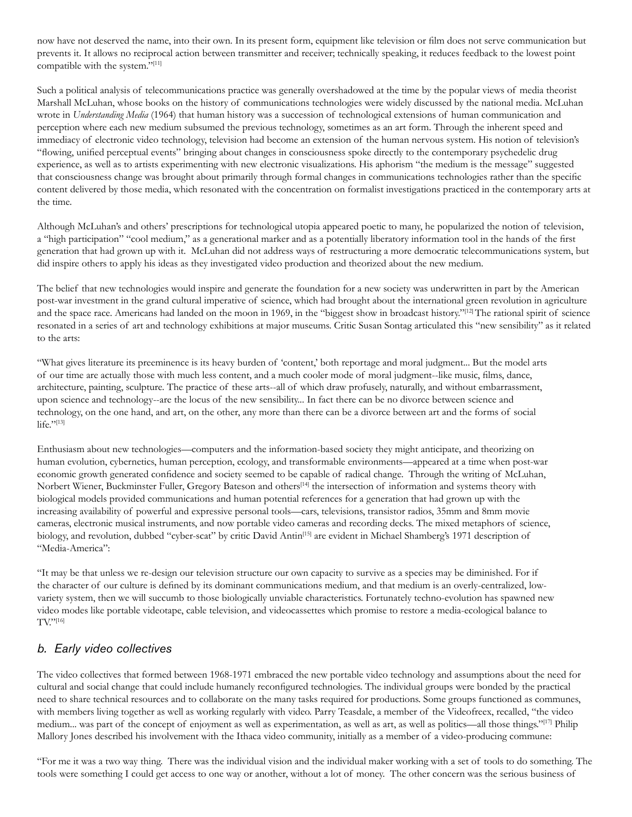now have not deserved the name, into their own. In its present form, equipment like television or film does not serve communication but prevents it. It allows no reciprocal action between transmitter and receiver; technically speaking, it reduces feedback to the lowest point compatible with the system."[11]

Such a political analysis of telecommunications practice was generally overshadowed at the time by the popular views of media theorist Marshall McLuhan, whose books on the history of communications technologies were widely discussed by the national media. McLuhan wrote in *Understanding Media* (1964) that human history was a succession of technological extensions of human communication and perception where each new medium subsumed the previous technology, sometimes as an art form. Through the inherent speed and immediacy of electronic video technology, television had become an extension of the human nervous system. His notion of television's "flowing, unified perceptual events" bringing about changes in consciousness spoke directly to the contemporary psychedelic drug experience, as well as to artists experimenting with new electronic visualizations. His aphorism "the medium is the message" suggested that consciousness change was brought about primarily through formal changes in communications technologies rather than the specific content delivered by those media, which resonated with the concentration on formalist investigations practiced in the contemporary arts at the time.

Although McLuhan's and others' prescriptions for technological utopia appeared poetic to many, he popularized the notion of television, a "high participation" "cool medium," as a generational marker and as a potentially liberatory information tool in the hands of the first generation that had grown up with it. McLuhan did not address ways of restructuring a more democratic telecommunications system, but did inspire others to apply his ideas as they investigated video production and theorized about the new medium.

The belief that new technologies would inspire and generate the foundation for a new society was underwritten in part by the American post-war investment in the grand cultural imperative of science, which had brought about the international green revolution in agriculture and the space race. Americans had landed on the moon in 1969, in the "biggest show in broadcast history."<sup>[12]</sup> The rational spirit of science resonated in a series of art and technology exhibitions at major museums. Critic Susan Sontag articulated this "new sensibility" as it related to the arts:

"What gives literature its preeminence is its heavy burden of 'content,' both reportage and moral judgment... But the model arts of our time are actually those with much less content, and a much cooler mode of moral judgment--like music, films, dance, architecture, painting, sculpture. The practice of these arts--all of which draw profusely, naturally, and without embarrassment, upon science and technology--are the locus of the new sensibility... In fact there can be no divorce between science and technology, on the one hand, and art, on the other, any more than there can be a divorce between art and the forms of social life."[13]

Enthusiasm about new technologies—computers and the information-based society they might anticipate, and theorizing on human evolution, cybernetics, human perception, ecology, and transformable environments—appeared at a time when post-war economic growth generated confidence and society seemed to be capable of radical change. Through the writing of McLuhan, Norbert Wiener, Buckminster Fuller, Gregory Bateson and others<sup>[14]</sup> the intersection of information and systems theory with biological models provided communications and human potential references for a generation that had grown up with the increasing availability of powerful and expressive personal tools—cars, televisions, transistor radios, 35mm and 8mm movie cameras, electronic musical instruments, and now portable video cameras and recording decks. The mixed metaphors of science, biology, and revolution, dubbed "cyber-scat" by critic David Antin<sup>[15]</sup> are evident in Michael Shamberg's 1971 description of "Media-America":

"It may be that unless we re-design our television structure our own capacity to survive as a species may be diminished. For if the character of our culture is defined by its dominant communications medium, and that medium is an overly-centralized, lowvariety system, then we will succumb to those biologically unviable characteristics. Fortunately techno-evolution has spawned new video modes like portable videotape, cable television, and videocassettes which promise to restore a media-ecological balance to TV."[16]

# *b. Early video collectives*

The video collectives that formed between 1968-1971 embraced the new portable video technology and assumptions about the need for cultural and social change that could include humanely reconfigured technologies. The individual groups were bonded by the practical need to share technical resources and to collaborate on the many tasks required for productions. Some groups functioned as communes, with members living together as well as working regularly with video. Parry Teasdale, a member of the Videofreex, recalled, "the video medium... was part of the concept of enjoyment as well as experimentation, as well as art, as well as politics—all those things."[17] Philip Mallory Jones described his involvement with the Ithaca video community, initially as a member of a video-producing commune:

"For me it was a two way thing. There was the individual vision and the individual maker working with a set of tools to do something. The tools were something I could get access to one way or another, without a lot of money. The other concern was the serious business of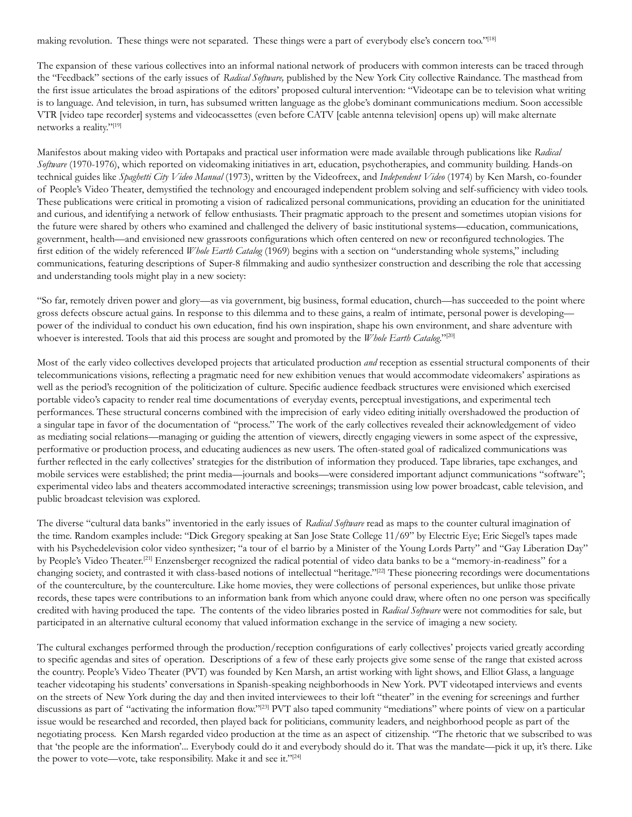making revolution. These things were not separated. These things were a part of everybody else's concern too."[18]

The expansion of these various collectives into an informal national network of producers with common interests can be traced through the "Feedback" sections of the early issues of *Radical Software,* published by the New York City collective Raindance. The masthead from the first issue articulates the broad aspirations of the editors' proposed cultural intervention: "Videotape can be to television what writing is to language. And television, in turn, has subsumed written language as the globe's dominant communications medium. Soon accessible VTR [video tape recorder] systems and videocassettes (even before CATV [cable antenna television] opens up) will make alternate networks a reality."[19]

Manifestos about making video with Portapaks and practical user information were made available through publications like *Radical Software* (1970-1976), which reported on videomaking initiatives in art, education, psychotherapies, and community building. Hands-on technical guides like *Spaghetti City Video Manual* (1973), written by the Videofreex, and *Independent Video* (1974) by Ken Marsh, co-founder of People's Video Theater, demystified the technology and encouraged independent problem solving and self-sufficiency with video tools. These publications were critical in promoting a vision of radicalized personal communications, providing an education for the uninitiated and curious, and identifying a network of fellow enthusiasts. Their pragmatic approach to the present and sometimes utopian visions for the future were shared by others who examined and challenged the delivery of basic institutional systems—education, communications, government, health—and envisioned new grassroots configurations which often centered on new or reconfigured technologies. The first edition of the widely referenced *Whole Earth Catalog* (1969) begins with a section on "understanding whole systems," including communications, featuring descriptions of Super-8 filmmaking and audio synthesizer construction and describing the role that accessing and understanding tools might play in a new society:

"So far, remotely driven power and glory—as via government, big business, formal education, church—has succeeded to the point where gross defects obscure actual gains. In response to this dilemma and to these gains, a realm of intimate, personal power is developing power of the individual to conduct his own education, find his own inspiration, shape his own environment, and share adventure with whoever is interested. Tools that aid this process are sought and promoted by the *Whole Earth Catalog*."<sup>[20]</sup>

Most of the early video collectives developed projects that articulated production *and* reception as essential structural components of their telecommunications visions, reflecting a pragmatic need for new exhibition venues that would accommodate videomakers' aspirations as well as the period's recognition of the politicization of culture. Specific audience feedback structures were envisioned which exercised portable video's capacity to render real time documentations of everyday events, perceptual investigations, and experimental tech performances. These structural concerns combined with the imprecision of early video editing initially overshadowed the production of a singular tape in favor of the documentation of "process." The work of the early collectives revealed their acknowledgement of video as mediating social relations—managing or guiding the attention of viewers, directly engaging viewers in some aspect of the expressive, performative or production process, and educating audiences as new users. The often-stated goal of radicalized communications was further reflected in the early collectives' strategies for the distribution of information they produced. Tape libraries, tape exchanges, and mobile services were established; the print media—journals and books—were considered important adjunct communications "software"; experimental video labs and theaters accommodated interactive screenings; transmission using low power broadcast, cable television, and public broadcast television was explored.

The diverse "cultural data banks" inventoried in the early issues of *Radical Software* read as maps to the counter cultural imagination of the time. Random examples include: "Dick Gregory speaking at San Jose State College 11/69" by Electric Eye; Eric Siegel's tapes made with his Psychedelevision color video synthesizer; "a tour of el barrio by a Minister of the Young Lords Party" and "Gay Liberation Day" by People's Video Theater.[21] Enzensberger recognized the radical potential of video data banks to be a "memory-in-readiness" for a changing society, and contrasted it with class-based notions of intellectual "heritage."<sup>[22]</sup> These pioneering recordings were documentations of the counterculture, by the counterculture. Like home movies, they were collections of personal experiences, but unlike those private records, these tapes were contributions to an information bank from which anyone could draw, where often no one person was specifically credited with having produced the tape. The contents of the video libraries posted in *Radical Software* were not commodities for sale, but participated in an alternative cultural economy that valued information exchange in the service of imaging a new society.

The cultural exchanges performed through the production/reception configurations of early collectives' projects varied greatly according to specific agendas and sites of operation. Descriptions of a few of these early projects give some sense of the range that existed across the country. People's Video Theater (PVT) was founded by Ken Marsh, an artist working with light shows, and Elliot Glass, a language teacher videotaping his students' conversations in Spanish-speaking neighborhoods in New York. PVT videotaped interviews and events on the streets of New York during the day and then invited interviewees to their loft "theater" in the evening for screenings and further discussions as part of "activating the information flow."[23] PVT also taped community "mediations" where points of view on a particular issue would be researched and recorded, then played back for politicians, community leaders, and neighborhood people as part of the negotiating process. Ken Marsh regarded video production at the time as an aspect of citizenship. "The rhetoric that we subscribed to was that 'the people are the information'... Everybody could do it and everybody should do it. That was the mandate—pick it up, it's there. Like the power to vote—vote, take responsibility. Make it and see it."[24]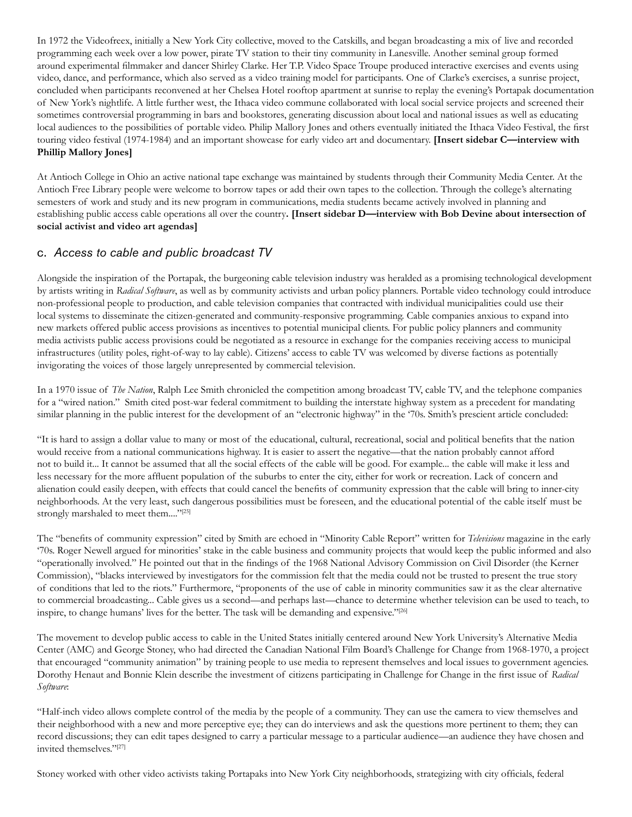In 1972 the Videofreex, initially a New York City collective, moved to the Catskills, and began broadcasting a mix of live and recorded programming each week over a low power, pirate TV station to their tiny community in Lanesville. Another seminal group formed around experimental filmmaker and dancer Shirley Clarke. Her T.P. Video Space Troupe produced interactive exercises and events using video, dance, and performance, which also served as a video training model for participants. One of Clarke's exercises, a sunrise project, concluded when participants reconvened at her Chelsea Hotel rooftop apartment at sunrise to replay the evening's Portapak documentation of New York's nightlife. A little further west, the Ithaca video commune collaborated with local social service projects and screened their sometimes controversial programming in bars and bookstores, generating discussion about local and national issues as well as educating local audiences to the possibilities of portable video. Philip Mallory Jones and others eventually initiated the Ithaca Video Festival, the first touring video festival (1974-1984) and an important showcase for early video art and documentary. **[Insert sidebar C—interview with Phillip Mallory Jones]** 

At Antioch College in Ohio an active national tape exchange was maintained by students through their Community Media Center. At the Antioch Free Library people were welcome to borrow tapes or add their own tapes to the collection. Through the college's alternating semesters of work and study and its new program in communications, media students became actively involved in planning and establishing public access cable operations all over the country**. [Insert sidebar D—interview with Bob Devine about intersection of social activist and video art agendas]**

# c. *Access to cable and public broadcast TV*

Alongside the inspiration of the Portapak, the burgeoning cable television industry was heralded as a promising technological development by artists writing in *Radical Software*, as well as by community activists and urban policy planners. Portable video technology could introduce non-professional people to production, and cable television companies that contracted with individual municipalities could use their local systems to disseminate the citizen-generated and community-responsive programming. Cable companies anxious to expand into new markets offered public access provisions as incentives to potential municipal clients. For public policy planners and community media activists public access provisions could be negotiated as a resource in exchange for the companies receiving access to municipal infrastructures (utility poles, right-of-way to lay cable). Citizens' access to cable TV was welcomed by diverse factions as potentially invigorating the voices of those largely unrepresented by commercial television.

In a 1970 issue of *The Nation*, Ralph Lee Smith chronicled the competition among broadcast TV, cable TV, and the telephone companies for a "wired nation." Smith cited post-war federal commitment to building the interstate highway system as a precedent for mandating similar planning in the public interest for the development of an "electronic highway" in the '70s. Smith's prescient article concluded:

"It is hard to assign a dollar value to many or most of the educational, cultural, recreational, social and political benefits that the nation would receive from a national communications highway. It is easier to assert the negative—that the nation probably cannot afford not to build it... It cannot be assumed that all the social effects of the cable will be good. For example... the cable will make it less and less necessary for the more affluent population of the suburbs to enter the city, either for work or recreation. Lack of concern and alienation could easily deepen, with effects that could cancel the benefits of community expression that the cable will bring to inner-city neighborhoods. At the very least, such dangerous possibilities must be foreseen, and the educational potential of the cable itself must be strongly marshaled to meet them...."[25]

The "benefits of community expression" cited by Smith are echoed in "Minority Cable Report" written for *Televisions* magazine in the early '70s. Roger Newell argued for minorities' stake in the cable business and community projects that would keep the public informed and also "operationally involved." He pointed out that in the findings of the 1968 National Advisory Commission on Civil Disorder (the Kerner Commission), "blacks interviewed by investigators for the commission felt that the media could not be trusted to present the true story of conditions that led to the riots." Furthermore, "proponents of the use of cable in minority communities saw it as the clear alternative to commercial broadcasting... Cable gives us a second—and perhaps last—chance to determine whether television can be used to teach, to inspire, to change humans' lives for the better. The task will be demanding and expensive."[26]

The movement to develop public access to cable in the United States initially centered around New York University's Alternative Media Center (AMC) and George Stoney, who had directed the Canadian National Film Board's Challenge for Change from 1968-1970, a project that encouraged "community animation" by training people to use media to represent themselves and local issues to government agencies. Dorothy Henaut and Bonnie Klein describe the investment of citizens participating in Challenge for Change in the first issue of *Radical Software*:

"Half-inch video allows complete control of the media by the people of a community. They can use the camera to view themselves and their neighborhood with a new and more perceptive eye; they can do interviews and ask the questions more pertinent to them; they can record discussions; they can edit tapes designed to carry a particular message to a particular audience—an audience they have chosen and invited themselves."[27]

Stoney worked with other video activists taking Portapaks into New York City neighborhoods, strategizing with city officials, federal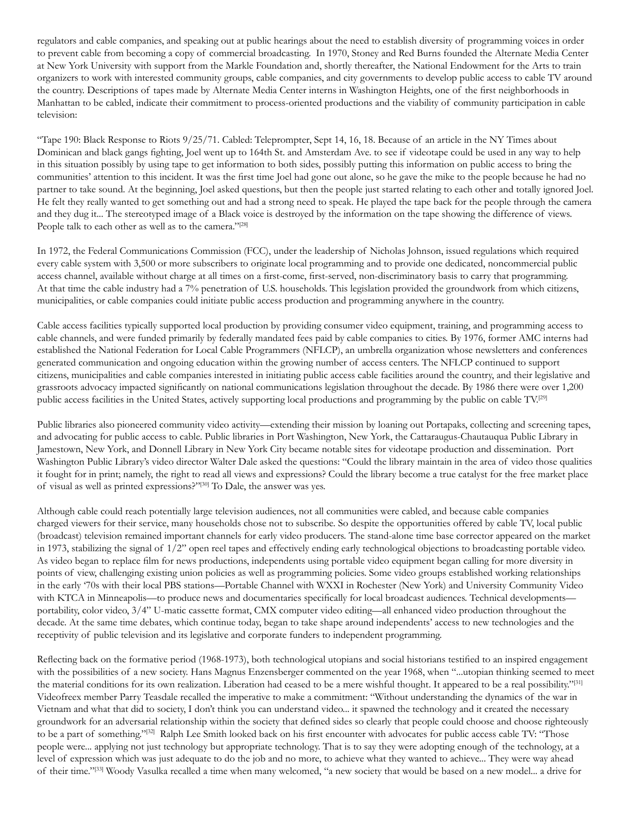regulators and cable companies, and speaking out at public hearings about the need to establish diversity of programming voices in order to prevent cable from becoming a copy of commercial broadcasting. In 1970, Stoney and Red Burns founded the Alternate Media Center at New York University with support from the Markle Foundation and, shortly thereafter, the National Endowment for the Arts to train organizers to work with interested community groups, cable companies, and city governments to develop public access to cable TV around the country. Descriptions of tapes made by Alternate Media Center interns in Washington Heights, one of the first neighborhoods in Manhattan to be cabled, indicate their commitment to process-oriented productions and the viability of community participation in cable television:

"Tape 190: Black Response to Riots 9/25/71. Cabled: Teleprompter, Sept 14, 16, 18. Because of an article in the NY Times about Dominican and black gangs fighting, Joel went up to 164th St. and Amsterdam Ave. to see if videotape could be used in any way to help in this situation possibly by using tape to get information to both sides, possibly putting this information on public access to bring the communities' attention to this incident. It was the first time Joel had gone out alone, so he gave the mike to the people because he had no partner to take sound. At the beginning, Joel asked questions, but then the people just started relating to each other and totally ignored Joel. He felt they really wanted to get something out and had a strong need to speak. He played the tape back for the people through the camera and they dug it... The stereotyped image of a Black voice is destroyed by the information on the tape showing the difference of views. People talk to each other as well as to the camera."[28]

In 1972, the Federal Communications Commission (FCC), under the leadership of Nicholas Johnson, issued regulations which required every cable system with 3,500 or more subscribers to originate local programming and to provide one dedicated, noncommercial public access channel, available without charge at all times on a first-come, first-served, non-discriminatory basis to carry that programming. At that time the cable industry had a 7% penetration of U.S. households. This legislation provided the groundwork from which citizens, municipalities, or cable companies could initiate public access production and programming anywhere in the country.

Cable access facilities typically supported local production by providing consumer video equipment, training, and programming access to cable channels, and were funded primarily by federally mandated fees paid by cable companies to cities. By 1976, former AMC interns had established the National Federation for Local Cable Programmers (NFLCP), an umbrella organization whose newsletters and conferences generated communication and ongoing education within the growing number of access centers. The NFLCP continued to support citizens, municipalities and cable companies interested in initiating public access cable facilities around the country, and their legislative and grassroots advocacy impacted significantly on national communications legislation throughout the decade. By 1986 there were over 1,200 public access facilities in the United States, actively supporting local productions and programming by the public on cable TV.[29]

Public libraries also pioneered community video activity—extending their mission by loaning out Portapaks, collecting and screening tapes, and advocating for public access to cable. Public libraries in Port Washington, New York, the Cattaraugus-Chautauqua Public Library in Jamestown, New York, and Donnell Library in New York City became notable sites for videotape production and dissemination. Port Washington Public Library's video director Walter Dale asked the questions: "Could the library maintain in the area of video those qualities it fought for in print; namely, the right to read all views and expressions? Could the library become a true catalyst for the free market place of visual as well as printed expressions?"[30] To Dale, the answer was yes.

Although cable could reach potentially large television audiences, not all communities were cabled, and because cable companies charged viewers for their service, many households chose not to subscribe. So despite the opportunities offered by cable TV, local public (broadcast) television remained important channels for early video producers. The stand-alone time base corrector appeared on the market in 1973, stabilizing the signal of 1/2" open reel tapes and effectively ending early technological objections to broadcasting portable video. As video began to replace film for news productions, independents using portable video equipment began calling for more diversity in points of view, challenging existing union policies as well as programming policies. Some video groups established working relationships in the early '70s with their local PBS stations—Portable Channel with WXXI in Rochester (New York) and University Community Video with KTCA in Minneapolis—to produce news and documentaries specifically for local broadcast audiences. Technical developments portability, color video, 3/4" U-matic cassette format, CMX computer video editing—all enhanced video production throughout the decade. At the same time debates, which continue today, began to take shape around independents' access to new technologies and the receptivity of public television and its legislative and corporate funders to independent programming.

Reflecting back on the formative period (1968-1973), both technological utopians and social historians testified to an inspired engagement with the possibilities of a new society. Hans Magnus Enzensberger commented on the year 1968, when "...utopian thinking seemed to meet the material conditions for its own realization. Liberation had ceased to be a mere wishful thought. It appeared to be a real possibility."[31] Videofreex member Parry Teasdale recalled the imperative to make a commitment: "Without understanding the dynamics of the war in Vietnam and what that did to society, I don't think you can understand video... it spawned the technology and it created the necessary groundwork for an adversarial relationship within the society that defined sides so clearly that people could choose and choose righteously to be a part of something."[32] Ralph Lee Smith looked back on his first encounter with advocates for public access cable TV: "Those people were... applying not just technology but appropriate technology. That is to say they were adopting enough of the technology, at a level of expression which was just adequate to do the job and no more, to achieve what they wanted to achieve... They were way ahead of their time."[33] Woody Vasulka recalled a time when many welcomed, "a new society that would be based on a new model... a drive for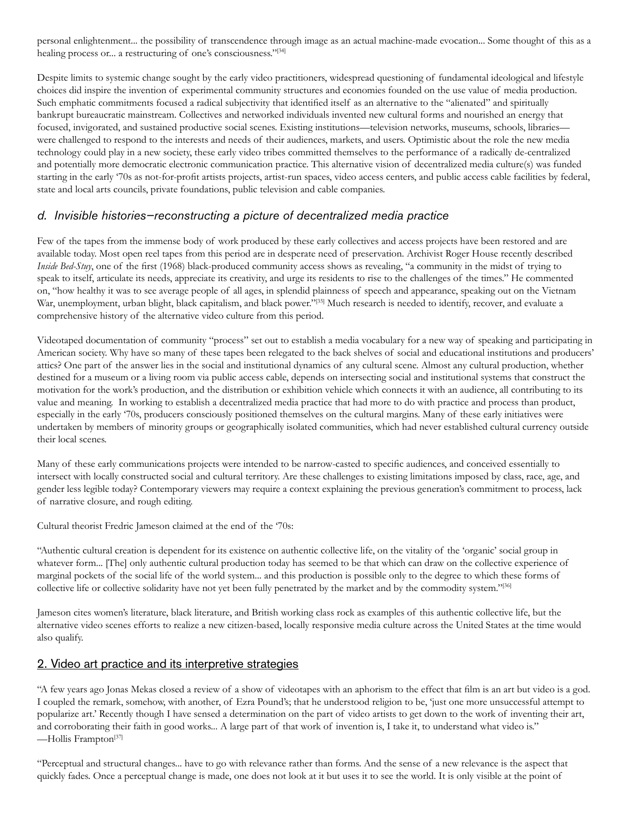personal enlightenment... the possibility of transcendence through image as an actual machine-made evocation... Some thought of this as a healing process or... a restructuring of one's consciousness."[34]

Despite limits to systemic change sought by the early video practitioners, widespread questioning of fundamental ideological and lifestyle choices did inspire the invention of experimental community structures and economies founded on the use value of media production. Such emphatic commitments focused a radical subjectivity that identified itself as an alternative to the "alienated" and spiritually bankrupt bureaucratic mainstream. Collectives and networked individuals invented new cultural forms and nourished an energy that focused, invigorated, and sustained productive social scenes. Existing institutions—television networks, museums, schools, libraries were challenged to respond to the interests and needs of their audiences, markets, and users. Optimistic about the role the new media technology could play in a new society, these early video tribes committed themselves to the performance of a radically de-centralized and potentially more democratic electronic communication practice. This alternative vision of decentralized media culture(s) was funded starting in the early '70s as not-for-profit artists projects, artist-run spaces, video access centers, and public access cable facilities by federal, state and local arts councils, private foundations, public television and cable companies.

# *d. Invisible histories—reconstructing a picture of decentralized media practice*

Few of the tapes from the immense body of work produced by these early collectives and access projects have been restored and are available today. Most open reel tapes from this period are in desperate need of preservation. Archivist Roger House recently described *Inside Bed-Stuy*, one of the first (1968) black-produced community access shows as revealing, "a community in the midst of trying to speak to itself, articulate its needs, appreciate its creativity, and urge its residents to rise to the challenges of the times." He commented on, "how healthy it was to see average people of all ages, in splendid plainness of speech and appearance, speaking out on the Vietnam War, unemployment, urban blight, black capitalism, and black power."<sup>[35]</sup> Much research is needed to identify, recover, and evaluate a comprehensive history of the alternative video culture from this period.

Videotaped documentation of community "process" set out to establish a media vocabulary for a new way of speaking and participating in American society. Why have so many of these tapes been relegated to the back shelves of social and educational institutions and producers' attics? One part of the answer lies in the social and institutional dynamics of any cultural scene. Almost any cultural production, whether destined for a museum or a living room via public access cable, depends on intersecting social and institutional systems that construct the motivation for the work's production, and the distribution or exhibition vehicle which connects it with an audience, all contributing to its value and meaning. In working to establish a decentralized media practice that had more to do with practice and process than product, especially in the early '70s, producers consciously positioned themselves on the cultural margins. Many of these early initiatives were undertaken by members of minority groups or geographically isolated communities, which had never established cultural currency outside their local scenes.

Many of these early communications projects were intended to be narrow-casted to specific audiences, and conceived essentially to intersect with locally constructed social and cultural territory. Are these challenges to existing limitations imposed by class, race, age, and gender less legible today? Contemporary viewers may require a context explaining the previous generation's commitment to process, lack of narrative closure, and rough editing.

Cultural theorist Fredric Jameson claimed at the end of the '70s:

"Authentic cultural creation is dependent for its existence on authentic collective life, on the vitality of the 'organic' social group in whatever form... [The] only authentic cultural production today has seemed to be that which can draw on the collective experience of marginal pockets of the social life of the world system... and this production is possible only to the degree to which these forms of collective life or collective solidarity have not yet been fully penetrated by the market and by the commodity system."[36]

Jameson cites women's literature, black literature, and British working class rock as examples of this authentic collective life, but the alternative video scenes efforts to realize a new citizen-based, locally responsive media culture across the United States at the time would also qualify.

# 2. Video art practice and its interpretive strategies

"A few years ago Jonas Mekas closed a review of a show of videotapes with an aphorism to the effect that film is an art but video is a god. I coupled the remark, somehow, with another, of Ezra Pound's; that he understood religion to be, 'just one more unsuccessful attempt to popularize art.' Recently though I have sensed a determination on the part of video artists to get down to the work of inventing their art, and corroborating their faith in good works... A large part of that work of invention is, I take it, to understand what video is." —Hollis Frampton[37]

"Perceptual and structural changes... have to go with relevance rather than forms. And the sense of a new relevance is the aspect that quickly fades. Once a perceptual change is made, one does not look at it but uses it to see the world. It is only visible at the point of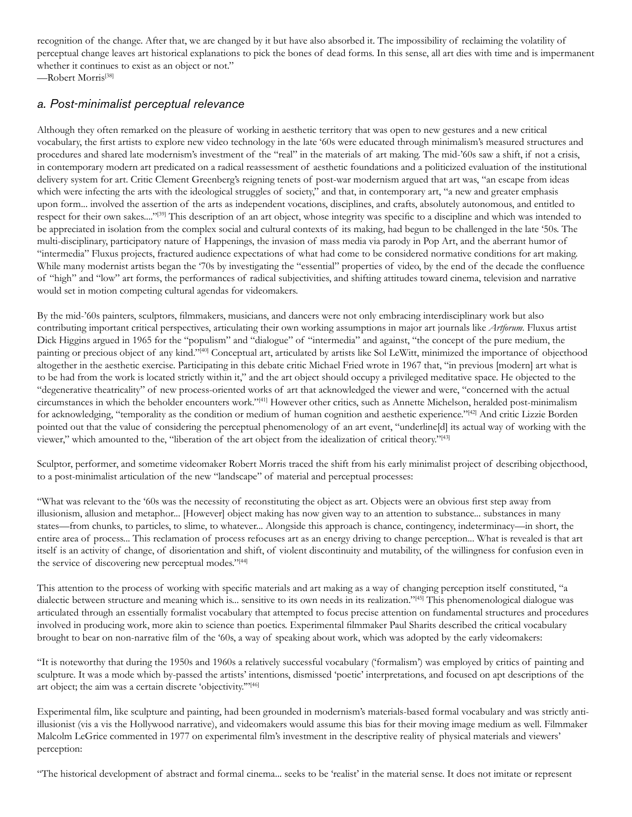recognition of the change. After that, we are changed by it but have also absorbed it. The impossibility of reclaiming the volatility of perceptual change leaves art historical explanations to pick the bones of dead forms. In this sense, all art dies with time and is impermanent whether it continues to exist as an object or not."

—Robert Morris[38]

### *a. Post-minimalist perceptual relevance*

Although they often remarked on the pleasure of working in aesthetic territory that was open to new gestures and a new critical vocabulary, the first artists to explore new video technology in the late '60s were educated through minimalism's measured structures and procedures and shared late modernism's investment of the "real" in the materials of art making. The mid-'60s saw a shift, if not a crisis, in contemporary modern art predicated on a radical reassessment of aesthetic foundations and a politicized evaluation of the institutional delivery system for art. Critic Clement Greenberg's reigning tenets of post-war modernism argued that art was, "an escape from ideas which were infecting the arts with the ideological struggles of society," and that, in contemporary art, "a new and greater emphasis upon form... involved the assertion of the arts as independent vocations, disciplines, and crafts, absolutely autonomous, and entitled to respect for their own sakes...."<sup>[39]</sup> This description of an art object, whose integrity was specific to a discipline and which was intended to be appreciated in isolation from the complex social and cultural contexts of its making, had begun to be challenged in the late '50s. The multi-disciplinary, participatory nature of Happenings, the invasion of mass media via parody in Pop Art, and the aberrant humor of "intermedia" Fluxus projects, fractured audience expectations of what had come to be considered normative conditions for art making. While many modernist artists began the '70s by investigating the "essential" properties of video, by the end of the decade the confluence of "high" and "low" art forms, the performances of radical subjectivities, and shifting attitudes toward cinema, television and narrative would set in motion competing cultural agendas for videomakers.

By the mid-'60s painters, sculptors, filmmakers, musicians, and dancers were not only embracing interdisciplinary work but also contributing important critical perspectives, articulating their own working assumptions in major art journals like *Artforum.* Fluxus artist Dick Higgins argued in 1965 for the "populism" and "dialogue" of "intermedia" and against, "the concept of the pure medium, the painting or precious object of any kind."[40] Conceptual art, articulated by artists like Sol LeWitt, minimized the importance of objecthood altogether in the aesthetic exercise. Participating in this debate critic Michael Fried wrote in 1967 that, "in previous [modern] art what is to be had from the work is located strictly within it," and the art object should occupy a privileged meditative space. He objected to the "degenerative theatricality" of new process-oriented works of art that acknowledged the viewer and were, "concerned with the actual circumstances in which the beholder encounters work."[41] However other critics, such as Annette Michelson, heralded post-minimalism for acknowledging, "temporality as the condition or medium of human cognition and aesthetic experience."<sup>[42]</sup> And critic Lizzie Borden pointed out that the value of considering the perceptual phenomenology of an art event, "underline[d] its actual way of working with the viewer," which amounted to the, "liberation of the art object from the idealization of critical theory."[43]

Sculptor, performer, and sometime videomaker Robert Morris traced the shift from his early minimalist project of describing objecthood, to a post-minimalist articulation of the new "landscape" of material and perceptual processes:

"What was relevant to the '60s was the necessity of reconstituting the object as art. Objects were an obvious first step away from illusionism, allusion and metaphor... [However] object making has now given way to an attention to substance... substances in many states—from chunks, to particles, to slime, to whatever... Alongside this approach is chance, contingency, indeterminacy—in short, the entire area of process... This reclamation of process refocuses art as an energy driving to change perception... What is revealed is that art itself is an activity of change, of disorientation and shift, of violent discontinuity and mutability, of the willingness for confusion even in the service of discovering new perceptual modes."[44]

This attention to the process of working with specific materials and art making as a way of changing perception itself constituted, "a dialectic between structure and meaning which is... sensitive to its own needs in its realization."[45] This phenomenological dialogue was articulated through an essentially formalist vocabulary that attempted to focus precise attention on fundamental structures and procedures involved in producing work, more akin to science than poetics. Experimental filmmaker Paul Sharits described the critical vocabulary brought to bear on non-narrative film of the '60s, a way of speaking about work, which was adopted by the early videomakers:

"It is noteworthy that during the 1950s and 1960s a relatively successful vocabulary ('formalism') was employed by critics of painting and sculpture. It was a mode which by-passed the artists' intentions, dismissed 'poetic' interpretations, and focused on apt descriptions of the art object; the aim was a certain discrete 'objectivity."<sup>146]</sup>

Experimental film, like sculpture and painting, had been grounded in modernism's materials-based formal vocabulary and was strictly antiillusionist (vis a vis the Hollywood narrative), and videomakers would assume this bias for their moving image medium as well. Filmmaker Malcolm LeGrice commented in 1977 on experimental film's investment in the descriptive reality of physical materials and viewers' perception:

"The historical development of abstract and formal cinema... seeks to be 'realist' in the material sense. It does not imitate or represent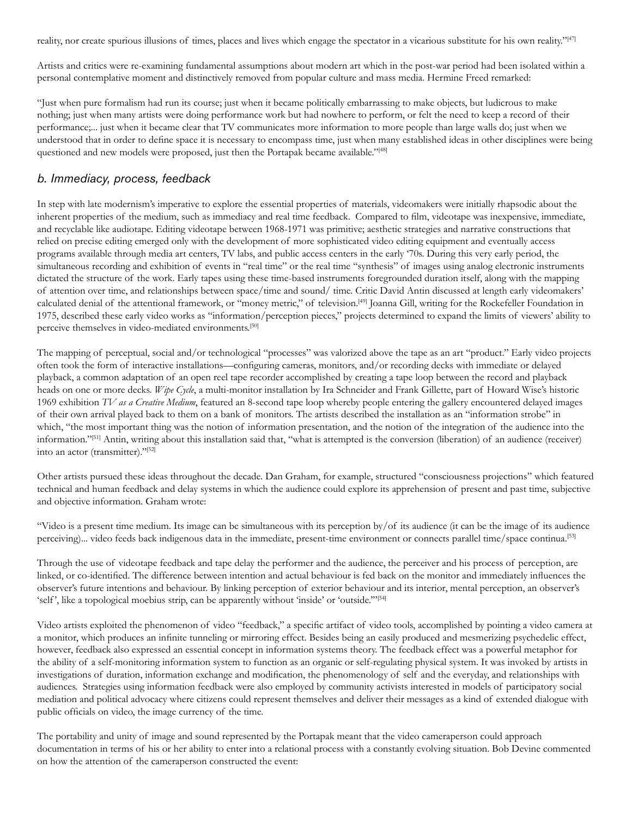reality, nor create spurious illusions of times, places and lives which engage the spectator in a vicarious substitute for his own reality."<sup>[47]</sup>

Artists and critics were re-examining fundamental assumptions about modern art which in the post-war period had been isolated within a personal contemplative moment and distinctively removed from popular culture and mass media. Hermine Freed remarked:

"Just when pure formalism had run its course; just when it became politically embarrassing to make objects, but ludicrous to make nothing; just when many artists were doing performance work but had nowhere to perform, or felt the need to keep a record of their performance;... just when it became clear that TV communicates more information to more people than large walls do; just when we understood that in order to define space it is necessary to encompass time, just when many established ideas in other disciplines were being questioned and new models were proposed, just then the Portapak became available."[48]

#### *b. Immediacy, process, feedback*

In step with late modernism's imperative to explore the essential properties of materials, videomakers were initially rhapsodic about the inherent properties of the medium, such as immediacy and real time feedback. Compared to film, videotape was inexpensive, immediate, and recyclable like audiotape. Editing videotape between 1968-1971 was primitive; aesthetic strategies and narrative constructions that relied on precise editing emerged only with the development of more sophisticated video editing equipment and eventually access programs available through media art centers, TV labs, and public access centers in the early '70s. During this very early period, the simultaneous recording and exhibition of events in "real time" or the real time "synthesis" of images using analog electronic instruments dictated the structure of the work. Early tapes using these time-based instruments foregrounded duration itself, along with the mapping of attention over time, and relationships between space/time and sound/ time. Critic David Antin discussed at length early videomakers' calculated denial of the attentional framework, or "money metric," of television.[49] Joanna Gill, writing for the Rockefeller Foundation in 1975, described these early video works as "information/perception pieces," projects determined to expand the limits of viewers' ability to perceive themselves in video-mediated environments.<sup>[50]</sup>

The mapping of perceptual, social and/or technological "processes" was valorized above the tape as an art "product." Early video projects often took the form of interactive installations—configuring cameras, monitors, and/or recording decks with immediate or delayed playback, a common adaptation of an open reel tape recorder accomplished by creating a tape loop between the record and playback heads on one or more decks. *Wipe Cycle*, a multi-monitor installation by Ira Schneider and Frank Gillette, part of Howard Wise's historic 1969 exhibition *TV as a Creative Medium*, featured an 8-second tape loop whereby people entering the gallery encountered delayed images of their own arrival played back to them on a bank of monitors. The artists described the installation as an "information strobe" in which, "the most important thing was the notion of information presentation, and the notion of the integration of the audience into the information."[51] Antin, writing about this installation said that, "what is attempted is the conversion (liberation) of an audience (receiver) into an actor (transmitter)."[52]

Other artists pursued these ideas throughout the decade. Dan Graham, for example, structured "consciousness projections" which featured technical and human feedback and delay systems in which the audience could explore its apprehension of present and past time, subjective and objective information. Graham wrote:

"Video is a present time medium. Its image can be simultaneous with its perception by/of its audience (it can be the image of its audience perceiving)... video feeds back indigenous data in the immediate, present-time environment or connects parallel time/space continua.[53]

Through the use of videotape feedback and tape delay the performer and the audience, the perceiver and his process of perception, are linked, or co-identified. The difference between intention and actual behaviour is fed back on the monitor and immediately influences the observer's future intentions and behaviour. By linking perception of exterior behaviour and its interior, mental perception, an observer's 'self', like a topological moebius strip, can be apparently without 'inside' or 'outside."<sup>[54]</sup>

Video artists exploited the phenomenon of video "feedback," a specific artifact of video tools, accomplished by pointing a video camera at a monitor, which produces an infinite tunneling or mirroring effect. Besides being an easily produced and mesmerizing psychedelic effect, however, feedback also expressed an essential concept in information systems theory. The feedback effect was a powerful metaphor for the ability of a self-monitoring information system to function as an organic or self-regulating physical system. It was invoked by artists in investigations of duration, information exchange and modification, the phenomenology of self and the everyday, and relationships with audiences. Strategies using information feedback were also employed by community activists interested in models of participatory social mediation and political advocacy where citizens could represent themselves and deliver their messages as a kind of extended dialogue with public officials on video, the image currency of the time.

The portability and unity of image and sound represented by the Portapak meant that the video cameraperson could approach documentation in terms of his or her ability to enter into a relational process with a constantly evolving situation. Bob Devine commented on how the attention of the cameraperson constructed the event: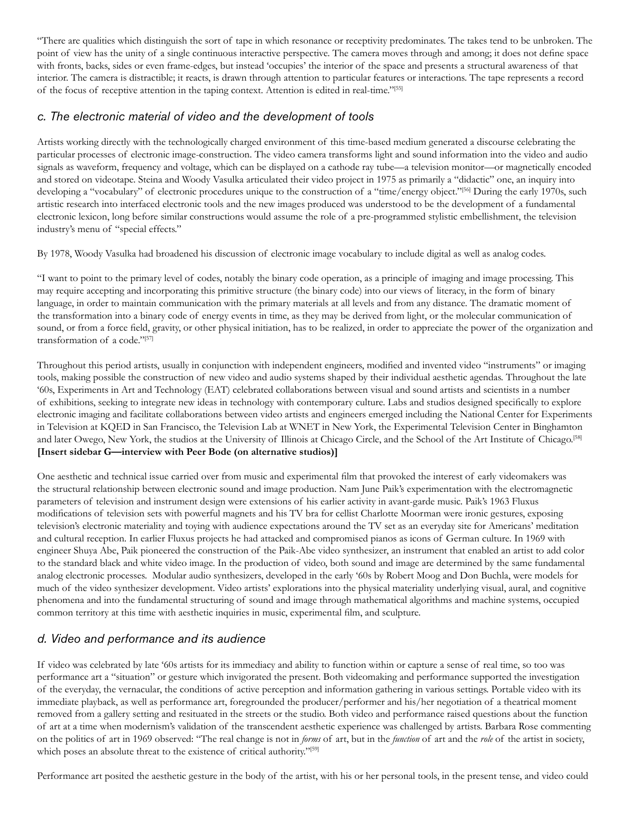"There are qualities which distinguish the sort of tape in which resonance or receptivity predominates. The takes tend to be unbroken. The point of view has the unity of a single continuous interactive perspective. The camera moves through and among; it does not define space with fronts, backs, sides or even frame-edges, but instead 'occupies' the interior of the space and presents a structural awareness of that interior. The camera is distractible; it reacts, is drawn through attention to particular features or interactions. The tape represents a record of the focus of receptive attention in the taping context. Attention is edited in real-time."[55]

# *c. The electronic material of video and the development of tools*

Artists working directly with the technologically charged environment of this time-based medium generated a discourse celebrating the particular processes of electronic image-construction. The video camera transforms light and sound information into the video and audio signals as waveform, frequency and voltage, which can be displayed on a cathode ray tube—a television monitor—or magnetically encoded and stored on videotape. Steina and Woody Vasulka articulated their video project in 1975 as primarily a "didactic" one, an inquiry into developing a "vocabulary" of electronic procedures unique to the construction of a "time/energy object."<sup>[56]</sup> During the early 1970s, such artistic research into interfaced electronic tools and the new images produced was understood to be the development of a fundamental electronic lexicon, long before similar constructions would assume the role of a pre-programmed stylistic embellishment, the television industry's menu of "special effects."

By 1978, Woody Vasulka had broadened his discussion of electronic image vocabulary to include digital as well as analog codes.

"I want to point to the primary level of codes, notably the binary code operation, as a principle of imaging and image processing. This may require accepting and incorporating this primitive structure (the binary code) into our views of literacy, in the form of binary language, in order to maintain communication with the primary materials at all levels and from any distance. The dramatic moment of the transformation into a binary code of energy events in time, as they may be derived from light, or the molecular communication of sound, or from a force field, gravity, or other physical initiation, has to be realized, in order to appreciate the power of the organization and transformation of a code."[57]

Throughout this period artists, usually in conjunction with independent engineers, modified and invented video "instruments" or imaging tools, making possible the construction of new video and audio systems shaped by their individual aesthetic agendas. Throughout the late '60s, Experiments in Art and Technology (EAT) celebrated collaborations between visual and sound artists and scientists in a number of exhibitions, seeking to integrate new ideas in technology with contemporary culture. Labs and studios designed specifically to explore electronic imaging and facilitate collaborations between video artists and engineers emerged including the National Center for Experiments in Television at KQED in San Francisco, the Television Lab at WNET in New York, the Experimental Television Center in Binghamton and later Owego, New York, the studios at the University of Illinois at Chicago Circle, and the School of the Art Institute of Chicago.[58] **[Insert sidebar G—interview with Peer Bode (on alternative studios)]**

One aesthetic and technical issue carried over from music and experimental film that provoked the interest of early videomakers was the structural relationship between electronic sound and image production. Nam June Paik's experimentation with the electromagnetic parameters of television and instrument design were extensions of his earlier activity in avant-garde music. Paik's 1963 Fluxus modifications of television sets with powerful magnets and his TV bra for cellist Charlotte Moorman were ironic gestures, exposing television's electronic materiality and toying with audience expectations around the TV set as an everyday site for Americans' meditation and cultural reception. In earlier Fluxus projects he had attacked and compromised pianos as icons of German culture. In 1969 with engineer Shuya Abe, Paik pioneered the construction of the Paik-Abe video synthesizer, an instrument that enabled an artist to add color to the standard black and white video image. In the production of video, both sound and image are determined by the same fundamental analog electronic processes. Modular audio synthesizers, developed in the early '60s by Robert Moog and Don Buchla, were models for much of the video synthesizer development. Video artists' explorations into the physical materiality underlying visual, aural, and cognitive phenomena and into the fundamental structuring of sound and image through mathematical algorithms and machine systems, occupied common territory at this time with aesthetic inquiries in music, experimental film, and sculpture.

# *d. Video and performance and its audience*

If video was celebrated by late '60s artists for its immediacy and ability to function within or capture a sense of real time, so too was performance art a "situation" or gesture which invigorated the present. Both videomaking and performance supported the investigation of the everyday, the vernacular, the conditions of active perception and information gathering in various settings. Portable video with its immediate playback, as well as performance art, foregrounded the producer/performer and his/her negotiation of a theatrical moment removed from a gallery setting and resituated in the streets or the studio. Both video and performance raised questions about the function of art at a time when modernism's validation of the transcendent aesthetic experience was challenged by artists. Barbara Rose commenting on the politics of art in 1969 observed: "The real change is not in *forms* of art, but in the *function* of art and the *role* of the artist in society, which poses an absolute threat to the existence of critical authority."<sup>[59]</sup>

Performance art posited the aesthetic gesture in the body of the artist, with his or her personal tools, in the present tense, and video could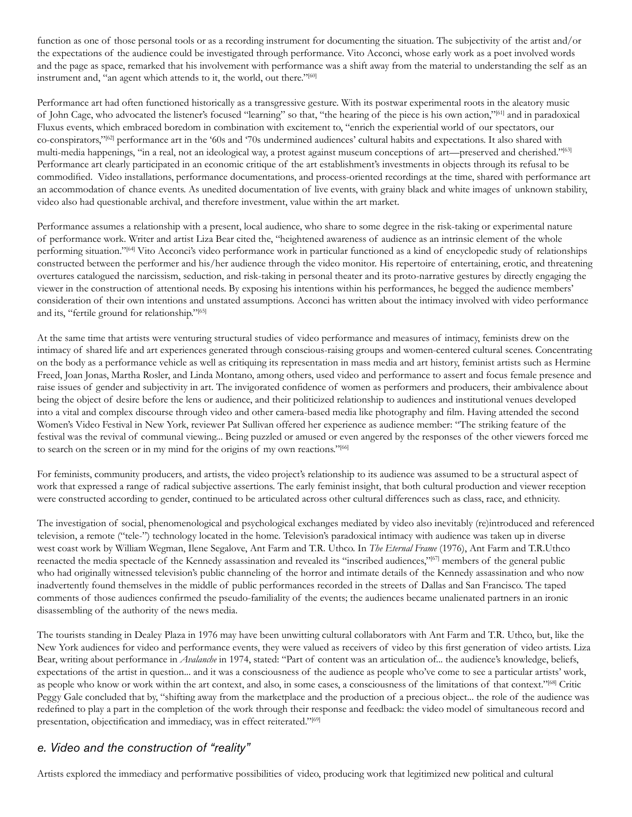function as one of those personal tools or as a recording instrument for documenting the situation. The subjectivity of the artist and/or the expectations of the audience could be investigated through performance. Vito Acconci, whose early work as a poet involved words and the page as space, remarked that his involvement with performance was a shift away from the material to understanding the self as an instrument and, "an agent which attends to it, the world, out there."[60]

Performance art had often functioned historically as a transgressive gesture. With its postwar experimental roots in the aleatory music of John Cage, who advocated the listener's focused "learning" so that, "the hearing of the piece is his own action,"[61] and in paradoxical Fluxus events, which embraced boredom in combination with excitement to, "enrich the experiential world of our spectators, our co-conspirators,"[62] performance art in the '60s and '70s undermined audiences' cultural habits and expectations. It also shared with multi-media happenings, "in a real, not an ideological way, a protest against museum conceptions of art—preserved and cherished."<sup>[63]</sup> Performance art clearly participated in an economic critique of the art establishment's investments in objects through its refusal to be commodified. Video installations, performance documentations, and process-oriented recordings at the time, shared with performance art an accommodation of chance events. As unedited documentation of live events, with grainy black and white images of unknown stability, video also had questionable archival, and therefore investment, value within the art market.

Performance assumes a relationship with a present, local audience, who share to some degree in the risk-taking or experimental nature of performance work. Writer and artist Liza Bear cited the, "heightened awareness of audience as an intrinsic element of the whole performing situation."[64] Vito Acconci's video performance work in particular functioned as a kind of encyclopedic study of relationships constructed between the performer and his/her audience through the video monitor. His repertoire of entertaining, erotic, and threatening overtures catalogued the narcissism, seduction, and risk-taking in personal theater and its proto-narrative gestures by directly engaging the viewer in the construction of attentional needs. By exposing his intentions within his performances, he begged the audience members' consideration of their own intentions and unstated assumptions. Acconci has written about the intimacy involved with video performance and its, "fertile ground for relationship."[65]

At the same time that artists were venturing structural studies of video performance and measures of intimacy, feminists drew on the intimacy of shared life and art experiences generated through conscious-raising groups and women-centered cultural scenes. Concentrating on the body as a performance vehicle as well as critiquing its representation in mass media and art history, feminist artists such as Hermine Freed, Joan Jonas, Martha Rosler, and Linda Montano, among others, used video and performance to assert and focus female presence and raise issues of gender and subjectivity in art. The invigorated confidence of women as performers and producers, their ambivalence about being the object of desire before the lens or audience, and their politicized relationship to audiences and institutional venues developed into a vital and complex discourse through video and other camera-based media like photography and film. Having attended the second Women's Video Festival in New York, reviewer Pat Sullivan offered her experience as audience member: "The striking feature of the festival was the revival of communal viewing... Being puzzled or amused or even angered by the responses of the other viewers forced me to search on the screen or in my mind for the origins of my own reactions."[66]

For feminists, community producers, and artists, the video project's relationship to its audience was assumed to be a structural aspect of work that expressed a range of radical subjective assertions. The early feminist insight, that both cultural production and viewer reception were constructed according to gender, continued to be articulated across other cultural differences such as class, race, and ethnicity.

The investigation of social, phenomenological and psychological exchanges mediated by video also inevitably (re)introduced and referenced television, a remote ("tele-") technology located in the home. Television's paradoxical intimacy with audience was taken up in diverse west coast work by William Wegman, Ilene Segalove, Ant Farm and T.R. Uthco. In *The Eternal Frame* (1976), Ant Farm and T.R.Uthco reenacted the media spectacle of the Kennedy assassination and revealed its "inscribed audiences,"[67] members of the general public who had originally witnessed television's public channeling of the horror and intimate details of the Kennedy assassination and who now inadvertently found themselves in the middle of public performances recorded in the streets of Dallas and San Francisco. The taped comments of those audiences confirmed the pseudo-familiality of the events; the audiences became unalienated partners in an ironic disassembling of the authority of the news media.

The tourists standing in Dealey Plaza in 1976 may have been unwitting cultural collaborators with Ant Farm and T.R. Uthco, but, like the New York audiences for video and performance events, they were valued as receivers of video by this first generation of video artists. Liza Bear, writing about performance in *Avalanche* in 1974, stated: "Part of content was an articulation of... the audience's knowledge, beliefs, expectations of the artist in question... and it was a consciousness of the audience as people who've come to see a particular artists' work, as people who know or work within the art context, and also, in some cases, a consciousness of the limitations of that context."[68] Critic Peggy Gale concluded that by, "shifting away from the marketplace and the production of a precious object... the role of the audience was redefined to play a part in the completion of the work through their response and feedback: the video model of simultaneous record and presentation, objectification and immediacy, was in effect reiterated."<sup>[69]</sup>

# *e. Video and the construction of "reality"*

Artists explored the immediacy and performative possibilities of video, producing work that legitimized new political and cultural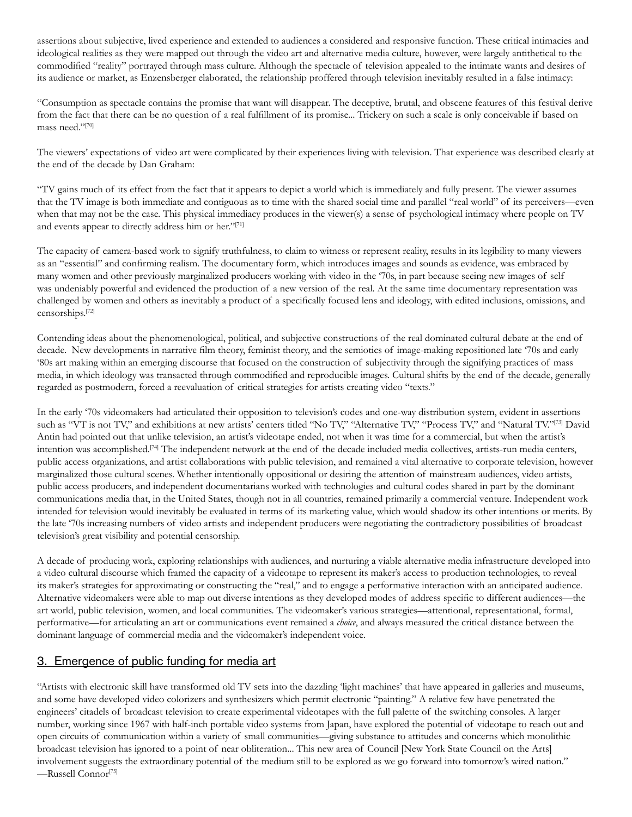assertions about subjective, lived experience and extended to audiences a considered and responsive function. These critical intimacies and ideological realities as they were mapped out through the video art and alternative media culture, however, were largely antithetical to the commodified "reality" portrayed through mass culture. Although the spectacle of television appealed to the intimate wants and desires of its audience or market, as Enzensberger elaborated, the relationship proffered through television inevitably resulted in a false intimacy:

"Consumption as spectacle contains the promise that want will disappear. The deceptive, brutal, and obscene features of this festival derive from the fact that there can be no question of a real fulfillment of its promise... Trickery on such a scale is only conceivable if based on mass need."[70]

The viewers' expectations of video art were complicated by their experiences living with television. That experience was described clearly at the end of the decade by Dan Graham:

"TV gains much of its effect from the fact that it appears to depict a world which is immediately and fully present. The viewer assumes that the TV image is both immediate and contiguous as to time with the shared social time and parallel "real world" of its perceivers—even when that may not be the case. This physical immediacy produces in the viewer(s) a sense of psychological intimacy where people on TV and events appear to directly address him or her."[71]

The capacity of camera-based work to signify truthfulness, to claim to witness or represent reality, results in its legibility to many viewers as an "essential" and confirming realism. The documentary form, which introduces images and sounds as evidence, was embraced by many women and other previously marginalized producers working with video in the '70s, in part because seeing new images of self was undeniably powerful and evidenced the production of a new version of the real. At the same time documentary representation was challenged by women and others as inevitably a product of a specifically focused lens and ideology, with edited inclusions, omissions, and censorships.[72]

Contending ideas about the phenomenological, political, and subjective constructions of the real dominated cultural debate at the end of decade. New developments in narrative film theory, feminist theory, and the semiotics of image-making repositioned late '70s and early '80s art making within an emerging discourse that focused on the construction of subjectivity through the signifying practices of mass media, in which ideology was transacted through commodified and reproducible images. Cultural shifts by the end of the decade, generally regarded as postmodern, forced a reevaluation of critical strategies for artists creating video "texts."

In the early '70s videomakers had articulated their opposition to television's codes and one-way distribution system, evident in assertions such as "VT is not TV," and exhibitions at new artists' centers titled "No TV," "Alternative TV," "Process TV," and "Natural TV."[73] David Antin had pointed out that unlike television, an artist's videotape ended, not when it was time for a commercial, but when the artist's intention was accomplished.[74] The independent network at the end of the decade included media collectives, artists-run media centers, public access organizations, and artist collaborations with public television, and remained a vital alternative to corporate television, however marginalized those cultural scenes. Whether intentionally oppositional or desiring the attention of mainstream audiences, video artists, public access producers, and independent documentarians worked with technologies and cultural codes shared in part by the dominant communications media that, in the United States, though not in all countries, remained primarily a commercial venture. Independent work intended for television would inevitably be evaluated in terms of its marketing value, which would shadow its other intentions or merits. By the late '70s increasing numbers of video artists and independent producers were negotiating the contradictory possibilities of broadcast television's great visibility and potential censorship.

A decade of producing work, exploring relationships with audiences, and nurturing a viable alternative media infrastructure developed into a video cultural discourse which framed the capacity of a videotape to represent its maker's access to production technologies, to reveal its maker's strategies for approximating or constructing the "real," and to engage a performative interaction with an anticipated audience. Alternative videomakers were able to map out diverse intentions as they developed modes of address specific to different audiences—the art world, public television, women, and local communities. The videomaker's various strategies—attentional, representational, formal, performative—for articulating an art or communications event remained a *choice*, and always measured the critical distance between the dominant language of commercial media and the videomaker's independent voice.

# 3. Emergence of public funding for media art

"Artists with electronic skill have transformed old TV sets into the dazzling 'light machines' that have appeared in galleries and museums, and some have developed video colorizers and synthesizers which permit electronic "painting." A relative few have penetrated the engineers' citadels of broadcast television to create experimental videotapes with the full palette of the switching consoles. A larger number, working since 1967 with half-inch portable video systems from Japan, have explored the potential of videotape to reach out and open circuits of communication within a variety of small communities—giving substance to attitudes and concerns which monolithic broadcast television has ignored to a point of near obliteration... This new area of Council [New York State Council on the Arts] involvement suggests the extraordinary potential of the medium still to be explored as we go forward into tomorrow's wired nation." —Russell Connor[75]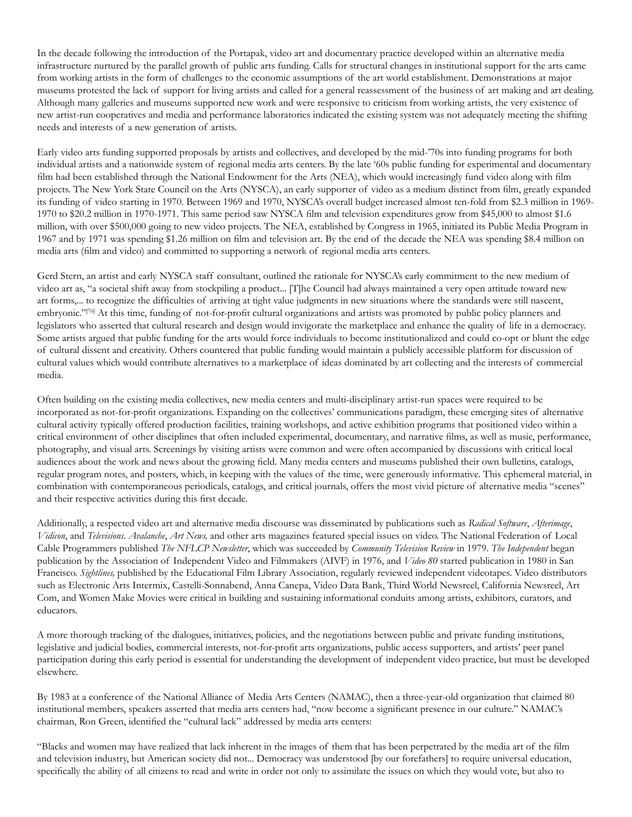In the decade following the introduction of the Portapak, video art and documentary practice developed within an alternative media infrastructure nurtured by the parallel growth of public arts funding. Calls for structural changes in institutional support for the arts came from working artists in the form of challenges to the economic assumptions of the art world establishment. Demonstrations at major museums protested the lack of support for living artists and called for a general reassessment of the business of art making and art dealing. Although many galleries and museums supported new work and were responsive to criticism from working artists, the very existence of new artist-run cooperatives and media and performance laboratories indicated the existing system was not adequately meeting the shifting needs and interests of a new generation of artists.

Early video arts funding supported proposals by artists and collectives, and developed by the mid-'70s into funding programs for both individual artists and a nationwide system of regional media arts centers. By the late '60s public funding for experimental and documentary film had been established through the National Endowment for the Arts (NEA), which would increasingly fund video along with film projects. The New York State Council on the Arts (NYSCA), an early supporter of video as a medium distinct from film, greatly expanded its funding of video starting in 1970. Between 1969 and 1970, NYSCA's overall budget increased almost ten-fold from \$2.3 million in 1969- 1970 to \$20.2 million in 1970-1971. This same period saw NYSCA film and television expenditures grow from \$45,000 to almost \$1.6 million, with over \$500,000 going to new video projects. The NEA, established by Congress in 1965, initiated its Public Media Program in 1967 and by 1971 was spending \$1.26 million on film and television art. By the end of the decade the NEA was spending \$8.4 million on media arts (film and video) and committed to supporting a network of regional media arts centers.

Gerd Stern, an artist and early NYSCA staff consultant, outlined the rationale for NYSCA's early commitment to the new medium of video art as, "a societal shift away from stockpiling a product... [T]he Council had always maintained a very open attitude toward new art forms,... to recognize the difficulties of arriving at tight value judgments in new situations where the standards were still nascent, embryonic."<sup>[76]</sup> At this time, funding of not-for-profit cultural organizations and artists was promoted by public policy planners and legislators who asserted that cultural research and design would invigorate the marketplace and enhance the quality of life in a democracy. Some artists argued that public funding for the arts would force individuals to become institutionalized and could co-opt or blunt the edge of cultural dissent and creativity. Others countered that public funding would maintain a publicly accessible platform for discussion of cultural values which would contribute alternatives to a marketplace of ideas dominated by art collecting and the interests of commercial media.

Often building on the existing media collectives, new media centers and multi-disciplinary artist-run spaces were required to be incorporated as not-for-profit organizations. Expanding on the collectives' communications paradigm, these emerging sites of alternative cultural activity typically offered production facilities, training workshops, and active exhibition programs that positioned video within a critical environment of other disciplines that often included experimental, documentary, and narrative films, as well as music, performance, photography, and visual arts. Screenings by visiting artists were common and were often accompanied by discussions with critical local audiences about the work and news about the growing field. Many media centers and museums published their own bulletins, catalogs, regular program notes, and posters, which, in keeping with the values of the time, were generously informative. This ephemeral material, in combination with contemporaneous periodicals, catalogs, and critical journals, offers the most vivid picture of alternative media "scenes" and their respective activities during this first decade.

Additionally, a respected video art and alternative media discourse was disseminated by publications such as *Radical Software*, *Afterimage*, *Vidicon*, and *Televisions*. *Avalanche*, *Art News,* and other arts magazines featured special issues on video. The National Federation of Local Cable Programmers published *The NFLCP Newsletter*, which was succeeded by *Community Television Review* in 1979. *The Independent* began publication by the Association of Independent Video and Filmmakers (AIVF) in 1976, and *Video 80* started publication in 1980 in San Francisco. *Sightlines,* published by the Educational Film Library Association, regularly reviewed independent videotapes. Video distributors such as Electronic Arts Intermix, Castelli-Sonnabend, Anna Canepa, Video Data Bank, Third World Newsreel, California Newsreel, Art Com, and Women Make Movies were critical in building and sustaining informational conduits among artists, exhibitors, curators, and educators.

A more thorough tracking of the dialogues, initiatives, policies, and the negotiations between public and private funding institutions, legislative and judicial bodies, commercial interests, not-for-profit arts organizations, public access supporters, and artists' peer panel participation during this early period is essential for understanding the development of independent video practice, but must be developed elsewhere.

By 1983 at a conference of the National Alliance of Media Arts Centers (NAMAC), then a three-year-old organization that claimed 80 institutional members, speakers asserted that media arts centers had, "now become a significant presence in our culture." NAMAC's chairman, Ron Green, identified the "cultural lack" addressed by media arts centers:

"Blacks and women may have realized that lack inherent in the images of them that has been perpetrated by the media art of the film and television industry, but American society did not... Democracy was understood [by our forefathers] to require universal education, specifically the ability of all citizens to read and write in order not only to assimilate the issues on which they would vote, but also to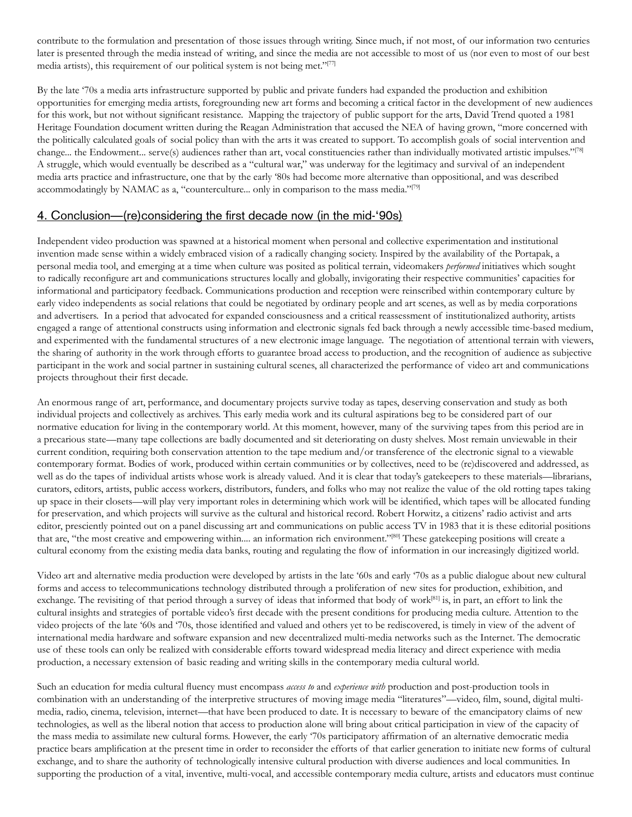contribute to the formulation and presentation of those issues through writing. Since much, if not most, of our information two centuries later is presented through the media instead of writing, and since the media are not accessible to most of us (nor even to most of our best media artists), this requirement of our political system is not being met."[77]

By the late '70s a media arts infrastructure supported by public and private funders had expanded the production and exhibition opportunities for emerging media artists, foregrounding new art forms and becoming a critical factor in the development of new audiences for this work, but not without significant resistance. Mapping the trajectory of public support for the arts, David Trend quoted a 1981 Heritage Foundation document written during the Reagan Administration that accused the NEA of having grown, "more concerned with the politically calculated goals of social policy than with the arts it was created to support. To accomplish goals of social intervention and change... the Endowment... serve(s) audiences rather than art, vocal constituencies rather than individually motivated artistic impulses."[78] A struggle, which would eventually be described as a "cultural war," was underway for the legitimacy and survival of an independent media arts practice and infrastructure, one that by the early '80s had become more alternative than oppositional, and was described accommodatingly by NAMAC as a, "counterculture... only in comparison to the mass media."[79]

#### 4. Conclusion—(re)considering the first decade now (in the mid-'90s)

Independent video production was spawned at a historical moment when personal and collective experimentation and institutional invention made sense within a widely embraced vision of a radically changing society. Inspired by the availability of the Portapak, a personal media tool, and emerging at a time when culture was posited as political terrain, videomakers *performed* initiatives which sought to radically reconfigure art and communications structures locally and globally, invigorating their respective communities' capacities for informational and participatory feedback. Communications production and reception were reinscribed within contemporary culture by early video independents as social relations that could be negotiated by ordinary people and art scenes, as well as by media corporations and advertisers. In a period that advocated for expanded consciousness and a critical reassessment of institutionalized authority, artists engaged a range of attentional constructs using information and electronic signals fed back through a newly accessible time-based medium, and experimented with the fundamental structures of a new electronic image language. The negotiation of attentional terrain with viewers, the sharing of authority in the work through efforts to guarantee broad access to production, and the recognition of audience as subjective participant in the work and social partner in sustaining cultural scenes, all characterized the performance of video art and communications projects throughout their first decade.

An enormous range of art, performance, and documentary projects survive today as tapes, deserving conservation and study as both individual projects and collectively as archives. This early media work and its cultural aspirations beg to be considered part of our normative education for living in the contemporary world. At this moment, however, many of the surviving tapes from this period are in a precarious state—many tape collections are badly documented and sit deteriorating on dusty shelves. Most remain unviewable in their current condition, requiring both conservation attention to the tape medium and/or transference of the electronic signal to a viewable contemporary format. Bodies of work, produced within certain communities or by collectives, need to be (re)discovered and addressed, as well as do the tapes of individual artists whose work is already valued. And it is clear that today's gatekeepers to these materials—librarians, curators, editors, artists, public access workers, distributors, funders, and folks who may not realize the value of the old rotting tapes taking up space in their closets—will play very important roles in determining which work will be identified, which tapes will be allocated funding for preservation, and which projects will survive as the cultural and historical record. Robert Horwitz, a citizens' radio activist and arts editor, presciently pointed out on a panel discussing art and communications on public access TV in 1983 that it is these editorial positions that are, "the most creative and empowering within.... an information rich environment."[80] These gatekeeping positions will create a cultural economy from the existing media data banks, routing and regulating the flow of information in our increasingly digitized world.

Video art and alternative media production were developed by artists in the late '60s and early '70s as a public dialogue about new cultural forms and access to telecommunications technology distributed through a proliferation of new sites for production, exhibition, and exchange. The revisiting of that period through a survey of ideas that informed that body of work[81] is, in part, an effort to link the cultural insights and strategies of portable video's first decade with the present conditions for producing media culture. Attention to the video projects of the late '60s and '70s, those identified and valued and others yet to be rediscovered, is timely in view of the advent of international media hardware and software expansion and new decentralized multi-media networks such as the Internet. The democratic use of these tools can only be realized with considerable efforts toward widespread media literacy and direct experience with media production, a necessary extension of basic reading and writing skills in the contemporary media cultural world.

Such an education for media cultural fluency must encompass *access to* and *experience with* production and post-production tools in combination with an understanding of the interpretive structures of moving image media "literatures"—video, film, sound, digital multimedia, radio, cinema, television, internet—that have been produced to date. It is necessary to beware of the emancipatory claims of new technologies, as well as the liberal notion that access to production alone will bring about critical participation in view of the capacity of the mass media to assimilate new cultural forms. However, the early '70s participatory affirmation of an alternative democratic media practice bears amplification at the present time in order to reconsider the efforts of that earlier generation to initiate new forms of cultural exchange, and to share the authority of technologically intensive cultural production with diverse audiences and local communities. In supporting the production of a vital, inventive, multi-vocal, and accessible contemporary media culture, artists and educators must continue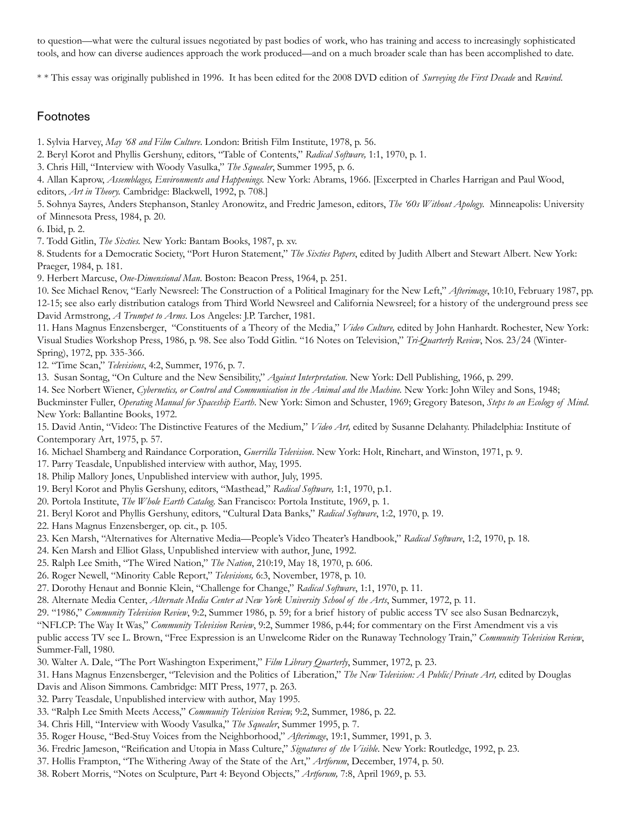to question—what were the cultural issues negotiated by past bodies of work, who has training and access to increasingly sophisticated tools, and how can diverse audiences approach the work produced—and on a much broader scale than has been accomplished to date.

\* \* This essay was originally published in 1996. It has been edited for the 2008 DVD edition of *Surveying the First Decade* and *Rewind*.

#### Footnotes

1. Sylvia Harvey, *May '68 and Film Culture*. London: British Film Institute, 1978, p. 56.

2. Beryl Korot and Phyllis Gershuny, editors, "Table of Contents," *Radical Software,* 1:1, 1970, p. 1.

3. Chris Hill, "Interview with Woody Vasulka," *The Squealer*, Summer 1995, p. 6.

4. Allan Kaprow, *Assemblages, Environments and Happenings.* New York: Abrams, 1966. [Excerpted in Charles Harrigan and Paul Wood, editors, *Art in Theory.* Cambridge: Blackwell, 1992, p. 708.]

5. Sohnya Sayres, Anders Stephanson, Stanley Aronowitz, and Fredric Jameson, editors, *The '60s Without Apology.* Minneapolis: University of Minnesota Press, 1984, p. 20.

6. Ibid, p. 2.

7. Todd Gitlin, *The Sixties.* New York: Bantam Books, 1987, p. xv.

8. Students for a Democratic Society, "Port Huron Statement," *The Sixties Papers*, edited by Judith Albert and Stewart Albert. New York: Praeger, 1984, p. 181.

9. Herbert Marcuse, *One-Dimensional Man*. Boston: Beacon Press, 1964, p. 251.

10. See Michael Renov, "Early Newsreel: The Construction of a Political Imaginary for the New Left," *Afterimage*, 10:10, February 1987, pp. 12-15; see also early distribution catalogs from Third World Newsreel and California Newsreel; for a history of the underground press see David Armstrong, *A Trumpet to Arms*. Los Angeles: J.P. Tarcher, 1981.

11. Hans Magnus Enzensberger, "Constituents of a Theory of the Media," *Video Culture,* edited by John Hanhardt. Rochester, New York: Visual Studies Workshop Press, 1986, p. 98. See also Todd Gitlin. "16 Notes on Television," *Tri-Quarterly Review*, Nos. 23/24 (Winter-Spring), 1972, pp. 335-366.

12. "Time Scan," *Televisions*, 4:2, Summer, 1976, p. 7.

13. Susan Sontag, "On Culture and the New Sensibility," *Against Interpretation*. New York: Dell Publishing, 1966, p. 299.

14. See Norbert Wiener, *Cybernetics, or Control and Communication in the Animal and the Machine.* New York: John Wiley and Sons, 1948; Buckminster Fuller, *Operating Manual for Spaceship Earth*. New York: Simon and Schuster, 1969; Gregory Bateson, *Steps to an Ecology of Mind*. New York: Ballantine Books, 1972.

15. David Antin, "Video: The Distinctive Features of the Medium," *Video Art,* edited by Susanne Delahanty. Philadelphia: Institute of Contemporary Art, 1975, p. 57.

16. Michael Shamberg and Raindance Corporation, *Guerrilla Television*. New York: Holt, Rinehart, and Winston, 1971, p. 9.

- 17. Parry Teasdale, Unpublished interview with author, May, 1995.
- 18. Philip Mallory Jones, Unpublished interview with author, July, 1995.
- 19. Beryl Korot and Phylis Gershuny, editors, "Masthead," *Radical Software,* 1:1, 1970, p.1.
- 20. Portola Institute, *The Whole Earth Catalog*. San Francisco: Portola Institute, 1969, p. 1.
- 21. Beryl Korot and Phyllis Gershuny, editors, "Cultural Data Banks," *Radical Software*, 1:2, 1970, p. 19.
- 22. Hans Magnus Enzensberger, op. cit., p. 105.

23. Ken Marsh, "Alternatives for Alternative Media—People's Video Theater's Handbook," *Radical Software*, 1:2, 1970, p. 18.

- 24. Ken Marsh and Elliot Glass, Unpublished interview with author, June, 1992.
- 25. Ralph Lee Smith, "The Wired Nation," *The Nation*, 210:19, May 18, 1970, p. 606.
- 26. Roger Newell, "Minority Cable Report," *Televisions,* 6:3, November, 1978, p. 10.
- 27. Dorothy Henaut and Bonnie Klein, "Challenge for Change," *Radical Software*, 1:1, 1970, p. 11.
- 28. Alternate Media Center, *Alternate Media Center at New York University School of the Arts*, Summer, 1972, p. 11.

29. "1986," *Community Television Review*, 9:2, Summer 1986, p. 59; for a brief history of public access TV see also Susan Bednarczyk,

"NFLCP: The Way It Was," *Community Television Review*, 9:2, Summer 1986, p.44; for commentary on the First Amendment vis a vis public access TV see L. Brown, "Free Expression is an Unwelcome Rider on the Runaway Technology Train," *Community Television Review*, Summer-Fall, 1980.

- 30. Walter A. Dale, "The Port Washington Experiment," *Film Library Quarterly*, Summer, 1972, p. 23.
- 31. Hans Magnus Enzensberger, "Television and the Politics of Liberation," *The New Television: A Public/Private Art,* edited by Douglas Davis and Alison Simmons. Cambridge: MIT Press, 1977, p. 263.
- 32. Parry Teasdale, Unpublished interview with author, May 1995.
- 33. "Ralph Lee Smith Meets Access," *Community Television Review,* 9:2, Summer, 1986, p. 22.
- 34. Chris Hill, "Interview with Woody Vasulka," *The Squealer*, Summer 1995, p. 7.
- 35. Roger House, "Bed-Stuy Voices from the Neighborhood," *Afterimage*, 19:1, Summer, 1991, p. 3.
- 36. Fredric Jameson, "Reification and Utopia in Mass Culture," *Signatures of the Visible*. New York: Routledge, 1992, p. 23.
- 37. Hollis Frampton, "The Withering Away of the State of the Art," *Artforum*, December, 1974, p. 50.
- 38. Robert Morris, "Notes on Sculpture, Part 4: Beyond Objects," *Artforum,* 7:8, April 1969, p. 53.